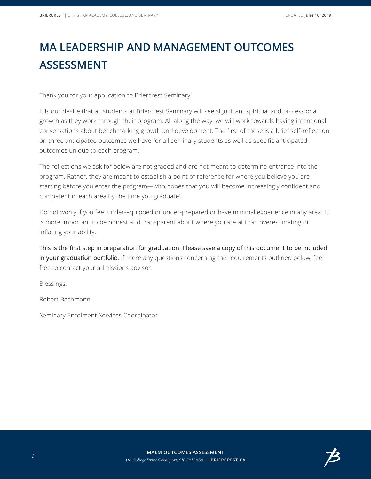## **MA LEADERSHIP AND MANAGEMENT OUTCOMES ASSESSMENT**

Thank you for your application to Briercrest Seminary!

It is our desire that all students at Briercrest Seminary will see significant spiritual and professional growth as they work through their program. All along the way, we will work towards having intentional conversations about benchmarking growth and development. The first of these is a brief self-reflection on three anticipated outcomes we have for all seminary students as well as specific anticipated outcomes unique to each program.

The reflections we ask for below are not graded and are not meant to determine entrance into the program. Rather, they are meant to establish a point of reference for where you believe you are starting before you enter the program—with hopes that you will become increasingly confident and competent in each area by the time you graduate!

Do not worry if you feel under-equipped or under-prepared or have minimal experience in any area. It is more important to be honest and transparent about where you are at than overestimating or inflating your ability.

This is the first step in preparation for graduation. Please save a copy of this document to be included in your graduation portfolio. If there any questions concerning the requirements outlined below, feel free to contact your admissions advisor.

Blessings,

Robert Bachmann

Seminary Enrolment Services Coordinator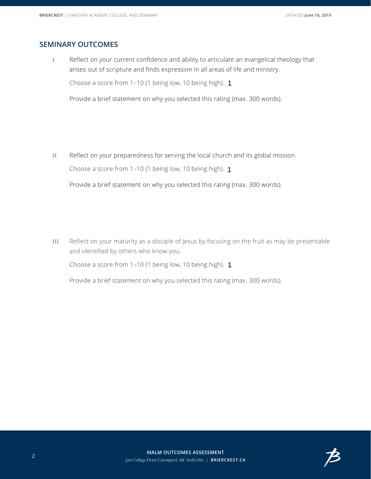## **SEMINARY OUTCOMES**

*I.* Reflect on your current confidence and ability to articulate an evangelical theology that arises out of scripture and finds expression in all areas of life and ministry.

Choose a score from 1-10 (1 being low, 10 being high). 1

Provide a brief statement on why you selected this rating (max. 300 words).

*II.* Reflect on your preparedness for serving the local church and its global mission.

Choose a score from 1–10 (1 being low, 10 being high). 1

 $\left| \right. \cdot \right|$ 

Provide a brief statement on why you selected this rating (max. 300 words).

*III.* Reflect on your maturity as a disciple of Jesus by focusing on the fruit as may be presentable and identified by others who know you.

Choose a score from 1–10 (1 being low, 10 being high). 1



Provide a brief statement on why you selected this rating (max. 300 words).